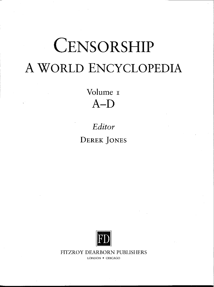# **CENSORSHIP A WORLD ENCYCLOPEDIA**

Volume **A-D**

*Editor* **DEREK JONES**



FITZROY DEARBORN PUBLISHERS LONDON • CHICAGO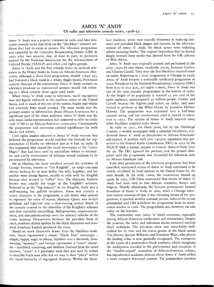## *AMOS 'N' ANDY* US radio and television comedy series, 1928-53

*Amos 'n'* Andy was a popular commercial radio and later television comedy series that drew on the "blackface" minstrel tradition that had its roots in slavery. The television programme was cancelled by the Columbia Broadcasting System (CBS) in 1953 after two seasons, due, at least in part, to pressures exerted by the National Association for the Advancement of Colored People (NAACP) and other civil rights groups.

*Amos 'n' Andy* was the first comedy series on network television in the United States to focus on African-American characters, although a short-lived programme, *Beulah* (1950-53), had featured a black maid in a white, Anglo-Saxon, Protestant context. Because of the controversy *Amos* 'n' *Andy* created, no television producer or commercial sponsor would risk investing in a black comedy show again until 1968.

When *Amos' 'n' Andy* came to television, racial segregation was still legally enforced in the southern states of the United States, and in much of the rest of the nation, blacks and whites had relatively little social contact. The mass media was the primary source of information about African-Americans for a significant part of the white audience. *Amos 'n' Andy* was the only mass-media representation that appeared to offer an inside view of life in an African-American community. Consequently the programme had enormous cultural significance for both blacks and whites.

Civil rights leaders objected to *Amos 'n' Andy* because they believed the programme would establish the formula for representation of blacks on television just as it had on radio. If this happened, they feared the racial stereotypes of the "comic Negro" that had been used by antebellum whites to rationalize and justify enslavement of Africans would continue to be perpetuated by television.

Set in Harlem, the story revolved around the activities of George Stevens, known as "the Kingfish", an inept con-man always looking for an easy dollar. His wife, Sapphire, and her mother were strong figures, usually at odds with the Kingfish because they wanted to "refine" him. The character Andrew Brown was usually the target of the Kingfish's schemes. Referred to as the "big dummy" by the Kingfish, Andy was a well-meaning but gullible simpleton. Amos was actually a minor character in the programme, a cab driver who seemed to represent the voice of reason. Madame Queen was Andy's girlfriend and Lightnin' was a slow-moving janitor. Much of the comedy centred on the absurdity of the Kingfish's schemes and their inevitable unravelling. Malapropisms, mispronunciations, and misunderstandings were the primary vehicles of the ironic humour. Disjunctures between the parodied form of rural, southern dialect spoken by the black characters and standard American English produced the irony.

Based on stock characters drawn from the blackface tradition, Amos represented a classic "Uncle Tom" stereotype simple, happy, eager to please; Saphhire was a shrewish, domineering "mammy"; and George represented a "coon" character — dandified, conniving, and shiftless. Derived from the word raccoon, "coon" is a pejorative term that was used by whites to describe black men who did not stay in their "place" within the racial hierarchy of segregated America. Within the blackface tradition, white men (usually Irishmen) in make-up imitated and parodied black singers and dancers. In the television version of *Amos* 'n' *Andy,* the black actors were imitating whites imitating blacks. The original inspiration that lay buried deeply beneath these masks was derived from the folk cultures of West Africa.

*Amos 'n' Andy* was originally created and performed in the early 19208 by two white, vaudeville actors, Freeman Goshen and Charles Correll. They were the first blackface minstrel team on radio. Beginning as a local programme in Chicago in 192.8, *Amos 'n'* Andy became a nationally syndicated programme in 1929. Broadcast by the National Broadcasting Company (NBC) from 6;oo to 6:15 p.m., six nights a week, *Amos 'n' Andy* was one of the most popular programmes in the history of radio. At the height of its popularity it reached 53 per cent of the radio audience, approximately 40 million people. Goshen and Correll became the highest-paid actors on radio, and were invited to perform at the White House by president Herbert Hoover. The programme was expanded into a half-hour comedy series, and ran continuously until it moved to television in 1951. The success of *Amos 'n'* Andy inspired many other blackface minstrel radio shows.

As early as 1931, the black press, led by the *Pittsburgh Courier,* a weekly newspaper with a national circulation, condemned *Amos 'n' Andy* as detrimental to African-Americans'• self-respect. A petition with over 740,000 signatures was presented to the Federal Radio Commission (FRC) in 1931 by the NAACP with a formal request to remove *Amos'n'Andy* from the air. The FRC ignored the petition, and the protest dissipated until the programme was re-created for television with an African-American cast.

Even after production of the television programme had been cancelled, syndicated reruns of *Amos 'n' Andy* continued to be widely circulated by local stations in the United States for the next decade. In the early 19605, the controversy heated up again. In 1963, CBS Films announced that reruns of *Amos 'n' Andy* had been sold to two African countries, Kenya and Nigeria. Shortly afterwards, the Kenyan government banned broadcast of Amos 'n' Andy. In 1964, when a Chicago television station announced that it was resuming reruns of the programme, it sparked another national protest. Sales of the reruns plummeted and CBS withdrew the programme from its syndication market in 1966. The programmes are, however, for sale today on the Internet.

The controversy over *Amos 'n'* Andy continues, especially among African-American intellectuals and entertainers. Despite the protests, the radio and television shows attracted sizeable black audiences. The television show was remarkably wellcrafted for its time and the comic genius of the black actors Tim Moore, Spencer Williams, and Ernestine Wade, who played the leading roles, is now generally recognized. The emergence in the 199os of a postmodern black aesthetic, which recognizes the ambiguities encoded in the performance and reception of the "double-voiced" narratives of African-American culture, has repositioned academic debates about *Amos 'n'* Andy within a more complex historical context. The postmodern position